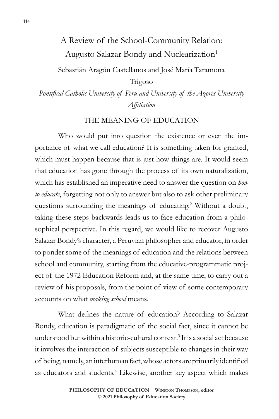# A Review of the School-Community Relation: Augusto Salazar Bondy and Nuclearization<sup>1</sup>

Sebastián Aragón Castellanos and José María Taramona

Trigoso

*Pontifical Catholic University of Peru and University of the Azores University Affiliation*

### THE MEANING OF EDUCATION

Who would put into question the existence or even the importance of what we call education? It is something taken for granted, which must happen because that is just how things are. It would seem that education has gone through the process of its own naturalization, which has established an imperative need to answer the question on *how to educate*, forgetting not only to answer but also to ask other preliminary questions surrounding the meanings of educating.<sup>2</sup> Without a doubt, taking these steps backwards leads us to face education from a philosophical perspective. In this regard, we would like to recover Augusto Salazar Bondy's character, a Peruvian philosopher and educator, in order to ponder some of the meanings of education and the relations between school and community, starting from the educative-programmatic project of the 1972 Education Reform and, at the same time, to carry out a review of his proposals, from the point of view of some contemporary accounts on what *making school* means*.*

What defines the nature of education? According to Salazar Bondy, education is paradigmatic of the social fact, since it cannot be understood but within a historic-cultural context.<sup>3</sup> It is a social act because it involves the interaction of subjects susceptible to changes in their way of being, namely, an interhuman fact, whose actors are primarily identified as educators and students.<sup>4</sup> Likewise, another key aspect which makes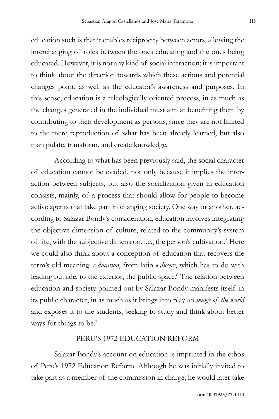education such is that it enables reciprocity between actors, allowing the interchanging of roles between the ones educating and the ones being educated. However, it is not any kind of social interaction; it is important to think about the direction towards which these actions and potential changes point, as well as the educator's awareness and purposes. In this sense, education is a teleologically oriented process, in as much as the changes generated in the individual must aim at benefiting them by contributing to their development as persons, since they are not limited to the mere reproduction of what has been already learned, but also manipulate, transform, and create knowledge.

According to what has been previously said, the social character of education cannot be evaded, not only because it implies the interaction between subjects, but also the socialization given in education consists, mainly, of a process that should allow for people to become active agents that take part in changing society. One way or another, according to Salazar Bondy's consideration, education involves integrating the objective dimension of culture, related to the community's system of life, with the subjective dimension, i.e., the person's cultivation.<sup>5</sup> Here we could also think about a conception of education that recovers the term's old meaning: *e-ducation*, from latin *e-ducere*, which has to do with leading outside, to the exterior, the public space.<sup>6</sup> The relation between education and society pointed out by Salazar Bondy manifests itself in its public character, in as much as it brings into play an *image of the world*  and exposes it to the students, seeking to study and think about better ways for things to be.<sup>7</sup>

#### PERU'S 1972 EDUCATION REFORM

Salazar Bondy's account on education is imprinted in the ethos of Peru's 1972 Education Reform. Although he was initially invited to take part as a member of the commission in charge, he would later take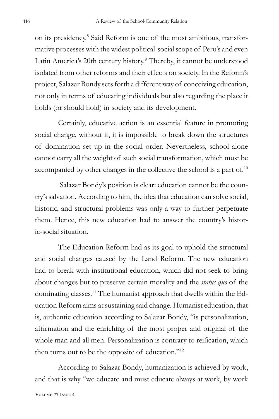on its presidency.8 Said Reform is one of the most ambitious, transformative processes with the widest political-social scope of Peru's and even Latin America's 20th century history.<sup>9</sup> Thereby, it cannot be understood isolated from other reforms and their effects on society. In the Reform's project, Salazar Bondy sets forth a different way of conceiving education, not only in terms of educating individuals but also regarding the place it holds (or should hold) in society and its development.

Certainly, educative action is an essential feature in promoting social change, without it, it is impossible to break down the structures of domination set up in the social order. Nevertheless, school alone cannot carry all the weight of such social transformation, which must be accompanied by other changes in the collective the school is a part of.10

 Salazar Bondy's position is clear: education cannot be the country's salvation. According to him, the idea that education can solve social, historic, and structural problems was only a way to further perpetuate them. Hence, this new education had to answer the country's historic-social situation.

The Education Reform had as its goal to uphold the structural and social changes caused by the Land Reform. The new education had to break with institutional education, which did not seek to bring about changes but to preserve certain morality and the *status quo* of the dominating classes.11 The humanist approach that dwells within the Education Reform aims at sustaining said change. Humanist education, that is, authentic education according to Salazar Bondy, "is personalization, affirmation and the enriching of the most proper and original of the whole man and all men. Personalization is contrary to reification, which then turns out to be the opposite of education."12

According to Salazar Bondy, humanization is achieved by work, and that is why "we educate and must educate always at work, by work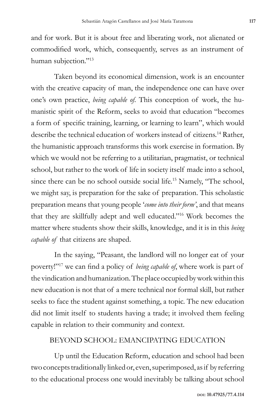and for work. But it is about free and liberating work, not alienated or commodified work, which, consequently, serves as an instrument of human subjection."<sup>13</sup>

Taken beyond its economical dimension, work is an encounter with the creative capacity of man, the independence one can have over one's own practice, *being capable of*. This conception of work, the humanistic spirit of the Reform, seeks to avoid that education "becomes a form of specific training, learning, or learning to learn", which would describe the technical education of workers instead of citizens.14 Rather, the humanistic approach transforms this work exercise in formation. By which we would not be referring to a utilitarian, pragmatist, or technical school, but rather to the work of life in society itself made into a school, since there can be no school outside social life.<sup>15</sup> Namely, "The school, we might say, is preparation for the sake of preparation. This scholastic preparation means that young people '*come into their form'*, and that means that they are skillfully adept and well educated."16 Work becomes the matter where students show their skills, knowledge, and it is in this *being capable of* that citizens are shaped.

In the saying, "Peasant, the landlord will no longer eat of your poverty!"17 we can find a policy of *being capable of*, where work is part of the vindication and humanization. The place occupied by work within this new education is not that of a mere technical nor formal skill, but rather seeks to face the student against something, a topic. The new education did not limit itself to students having a trade; it involved them feeling capable in relation to their community and context.

#### BEYOND SCHOOL: EMANCIPATING EDUCATION

Up until the Education Reform, education and school had been two concepts traditionally linked or, even, superimposed, as if by referring to the educational process one would inevitably be talking about school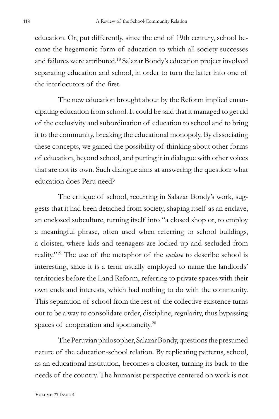education. Or, put differently, since the end of 19th century, school became the hegemonic form of education to which all society successes and failures were attributed.18 Salazar Bondy's education project involved separating education and school, in order to turn the latter into one of the interlocutors of the first.

The new education brought about by the Reform implied emancipating education from school. It could be said that it managed to get rid of the exclusivity and subordination of education to school and to bring it to the community, breaking the educational monopoly. By dissociating these concepts, we gained the possibility of thinking about other forms of education, beyond school, and putting it in dialogue with other voices that are not its own. Such dialogue aims at answering the question: what education does Peru need?

The critique of school, recurring in Salazar Bondy's work, suggests that it had been detached from society, shaping itself as an enclave, an enclosed subculture, turning itself into "a closed shop or, to employ a meaningful phrase, often used when referring to school buildings, a cloister, where kids and teenagers are locked up and secluded from reality."19 The use of the metaphor of the *enclave* to describe school is interesting, since it is a term usually employed to name the landlords' territories before the Land Reform, referring to private spaces with their own ends and interests, which had nothing to do with the community. This separation of school from the rest of the collective existence turns out to be a way to consolidate order, discipline, regularity, thus bypassing spaces of cooperation and spontaneity.<sup>20</sup>

The Peruvian philosopher, Salazar Bondy, questions the presumed nature of the education-school relation. By replicating patterns, school, as an educational institution, becomes a cloister, turning its back to the needs of the country. The humanist perspective centered on work is not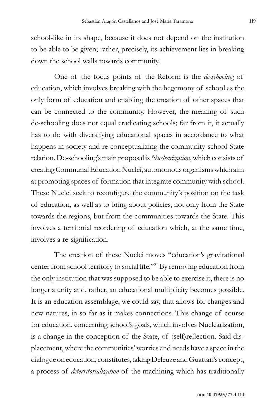school-like in its shape, because it does not depend on the institution to be able to be given; rather, precisely, its achievement lies in breaking down the school walls towards community.

One of the focus points of the Reform is the *de-schooling* of education, which involves breaking with the hegemony of school as the only form of education and enabling the creation of other spaces that can be connected to the community. However, the meaning of such de-schooling does not equal eradicating schools; far from it, it actually has to do with diversifying educational spaces in accordance to what happens in society and re-conceptualizing the community-school-State relation. De-schooling's main proposal is *Nuclearization*, which consists of creating Communal Education Nuclei, autonomous organisms which aim at promoting spaces of formation that integrate community with school. These Nuclei seek to reconfigure the community's position on the task of education, as well as to bring about policies, not only from the State towards the regions, but from the communities towards the State. This involves a territorial reordering of education which, at the same time, involves a re-signification.

The creation of these Nuclei moves "education's gravitational center from school territory to social life."21 By removing education from the only institution that was supposed to be able to exercise it, there is no longer a unity and, rather, an educational multiplicity becomes possible. It is an education assemblage, we could say, that allows for changes and new natures, in so far as it makes connections. This change of course for education, concerning school's goals, which involves Nuclearization, is a change in the conception of the State, of (self)reflection. Said displacement, where the communities' worries and needs have a space in the dialogue on education, constitutes, taking Deleuze and Guattari's concept, a process of *deterritorialization* of the machining which has traditionally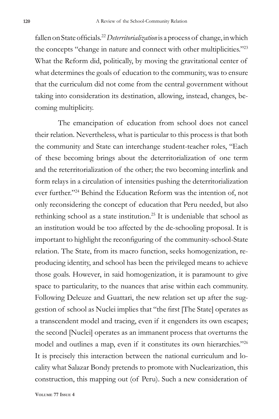fallen on State officials.<sup>22</sup>*Deterritorialization* is a process of change, in which the concepts "change in nature and connect with other multiplicities."23 What the Reform did, politically, by moving the gravitational center of what determines the goals of education to the community, was to ensure that the curriculum did not come from the central government without taking into consideration its destination, allowing, instead, changes, becoming multiplicity.

The emancipation of education from school does not cancel their relation. Nevertheless, what is particular to this process is that both the community and State can interchange student-teacher roles, "Each of these becoming brings about the deterritorialization of one term and the reterritorialization of the other; the two becoming interlink and form relays in a circulation of intensities pushing the deterritorialization ever further."24 Behind the Education Reform was the intention of, not only reconsidering the concept of education that Peru needed, but also rethinking school as a state institution.<sup>25</sup> It is undeniable that school as an institution would be too affected by the de-schooling proposal. It is important to highlight the reconfiguring of the community-school-State relation. The State, from its macro function, seeks homogenization, reproducing identity, and school has been the privileged means to achieve those goals. However, in said homogenization, it is paramount to give space to particularity, to the nuances that arise within each community. Following Deleuze and Guattari, the new relation set up after the suggestion of school as Nuclei implies that "the first [The State] operates as a transcendent model and tracing, even if it engenders its own escapes; the second [Nuclei] operates as an immanent process that overturns the model and outlines a map, even if it constitutes its own hierarchies."26 It is precisely this interaction between the national curriculum and locality what Salazar Bondy pretends to promote with Nuclearization, this construction, this mapping out (of Peru). Such a new consideration of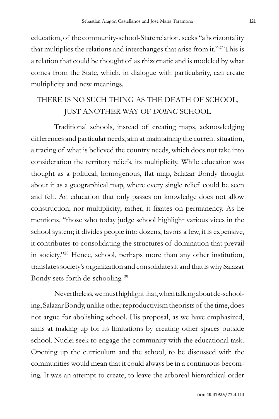education, of the community-school-State relation, seeks "a horizontality that multiplies the relations and interchanges that arise from it."27 This is a relation that could be thought of as rhizomatic and is modeled by what comes from the State, which, in dialogue with particularity, can create multiplicity and new meanings.

## THERE IS NO SUCH THING AS THE DEATH OF SCHOOL, JUST ANOTHER WAY OF *DOING* SCHOOL

Traditional schools, instead of creating maps, acknowledging differences and particular needs, aim at maintaining the current situation, a tracing of what is believed the country needs, which does not take into consideration the territory reliefs, its multiplicity. While education was thought as a political, homogenous, flat map, Salazar Bondy thought about it as a geographical map, where every single relief could be seen and felt. An education that only passes on knowledge does not allow construction, nor multiplicity; rather, it fixates on permanency. As he mentions, "those who today judge school highlight various vices in the school system; it divides people into dozens, favors a few, it is expensive, it contributes to consolidating the structures of domination that prevail in society."28 Hence, school, perhaps more than any other institution, translates society's organization and consolidates it and that is why Salazar Bondy sets forth de-schooling. <sup>29</sup>

Nevertheless, we must highlight that, when talking about de-schooling, Salazar Bondy, unlike other reproductivism theorists of the time, does not argue for abolishing school. His proposal, as we have emphasized, aims at making up for its limitations by creating other spaces outside school. Nuclei seek to engage the community with the educational task. Opening up the curriculum and the school, to be discussed with the communities would mean that it could always be in a continuous becoming. It was an attempt to create, to leave the arboreal-hierarchical order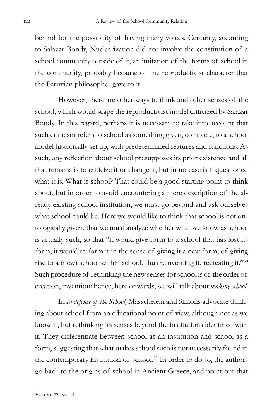behind for the possibility of having many voices. Certainly, according to Salazar Bondy, Nuclearization did not involve the constitution of a school community outside of it, an imitation of the forms of school in the community, probably because of the reproductivist character that the Peruvian philosopher gave to it.

However, there are other ways to think and other senses of the school, which would scape the reproductivist model criticized by Salazar Bondy. In this regard, perhaps it is necessary to take into account that such criticism refers to school as something given, complete, to a school model historically set up, with predetermined features and functions. As such, any reflection about school presupposes its prior existence and all that remains is to criticize it or change it, but in no case is it questioned what it is. What is school? That could be a good starting point to think about, but in order to avoid encountering a mere description of the already existing school institution, we must go beyond and ask ourselves what school could be. Here we would like to think that school is not ontologically given, that we must analyze whether what we know as school is actually such, so that "it would give form to a school that has lost its form; it would re-form it in the sense of giving it a new form, of giving rise to a (new) school within school, thus reinventing it, recreating it."30 Such procedure of rethinking the new senses for school is of the order of creation, invention; hence, here onwards, we will talk about *making school*.

In *In defense of the School,* Masschelein and Simons advocate thinking about school from an educational point of view, although not as we know it, but rethinking its senses beyond the institutions identified with it. They differentiate between school as an institution and school as a form, suggesting that what makes school such is not necessarily found in the contemporary institution of school.<sup>31</sup> In order to do so, the authors go back to the origins of school in Ancient Greece, and point out that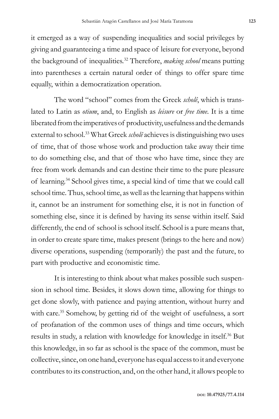it emerged as a way of suspending inequalities and social privileges by giving and guaranteeing a time and space of leisure for everyone, beyond the background of inequalities.32 Therefore, *making school* means putting into parentheses a certain natural order of things to offer spare time equally, within a democratization operation.

The word "school" comes from the Greek *scholê*, which is translated to Latin as *otium*, and, to English as *leisure* or *free time*. It is a time liberated from the imperatives of productivity, usefulness and the demands external to school.33 What Greek *scholê* achieves is distinguishing two uses of time, that of those whose work and production take away their time to do something else, and that of those who have time, since they are free from work demands and can destine their time to the pure pleasure of learning.34 School gives time, a special kind of time that we could call school time. Thus, school time, as well as the learning that happens within it, cannot be an instrument for something else, it is not in function of something else, since it is defined by having its sense within itself. Said differently, the end of school is school itself. School is a pure means that, in order to create spare time, makes present (brings to the here and now) diverse operations, suspending (temporarily) the past and the future, to part with productive and economistic time.

It is interesting to think about what makes possible such suspension in school time. Besides, it slows down time, allowing for things to get done slowly, with patience and paying attention, without hurry and with care.<sup>35</sup> Somehow, by getting rid of the weight of usefulness, a sort of profanation of the common uses of things and time occurs, which results in study, a relation with knowledge for knowledge in itself.<sup>36</sup> But this knowledge, in so far as school is the space of the common, must be collective, since, on one hand, everyone has equal access to it and everyone contributes to its construction, and, on the other hand, it allows people to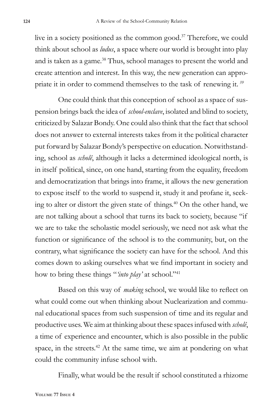live in a society positioned as the common good.37 Therefore, we could think about school as *ludus*, a space where our world is brought into play and is taken as a game.<sup>38</sup> Thus, school manages to present the world and create attention and interest. In this way, the new generation can appropriate it in order to commend themselves to the task of renewing it. *<sup>39</sup>*

One could think that this conception of school as a space of suspension brings back the idea of *school-enclave*, isolated and blind to society, criticized by Salazar Bondy. One could also think that the fact that school does not answer to external interests takes from it the political character put forward by Salazar Bondy's perspective on education. Notwithstanding, school as *scholê*, although it lacks a determined ideological north, is in itself political, since, on one hand, starting from the equality, freedom and democratization that brings into frame, it allows the new generation to expose itself to the world to suspend it, study it and profane it, seeking to alter or distort the given state of things.40 On the other hand, we are not talking about a school that turns its back to society, because "if we are to take the scholastic model seriously, we need not ask what the function or significance of the school is to the community, but, on the contrary, what significance the society can have for the school. And this comes down to asking ourselves what we find important in society and how to bring these things "*'into play'* at school."<sup>41</sup>

Based on this way of *making* school, we would like to reflect on what could come out when thinking about Nuclearization and communal educational spaces from such suspension of time and its regular and productive uses. We aim at thinking about these spaces infused with *scholê*, a time of experience and encounter, which is also possible in the public space, in the streets.<sup>42</sup> At the same time, we aim at pondering on what could the community infuse school with.

Finally, what would be the result if school constituted a rhizome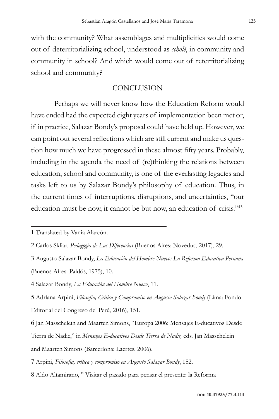with the community? What assemblages and multiplicities would come out of deterritorializing school, understood as *scholê*, in community and community in school? And which would come out of reterritorializing school and community?

#### **CONCLUSION**

Perhaps we will never know how the Education Reform would have ended had the expected eight years of implementation been met or, if in practice, Salazar Bondy's proposal could have held up. However, we can point out several reflections which are still current and make us question how much we have progressed in these almost fifty years. Probably, including in the agenda the need of (re)thinking the relations between education, school and community, is one of the everlasting legacies and tasks left to us by Salazar Bondy's philosophy of education. Thus, in the current times of interruptions, disruptions, and uncertainties, "our education must be now, it cannot be but now, an education of crisis."43

8 Aldo Altamirano, " Visitar el pasado para pensar el presente: la Reforma

<sup>1</sup> Translated by Vania Alarcón.

<sup>2</sup> Carlos Skliar, *Pedagogía de Las Diferencias* (Buenos Aires: Noveduc, 2017), 29.

<sup>3</sup> Augusto Salazar Bondy, *La Educación del Hombre Nuevo: La Reforma Educativa Peruana*  (Buenos Aires: Paidós, 1975), 10.

<sup>4</sup> Salazar Bondy, *La Educación del Hombre Nuevo*, 11.

<sup>5</sup> Adriana Arpini, *Filosofía, Crítica y Compromiso en Augusto Salazar Bondy* (Lima: Fondo Editorial del Congreso del Perú, 2016), 151.

<sup>6</sup> Jan Masschelein and Maarten Simons, "Europa 2006: Mensajes E-ducativos Desde Tierra de Nadie," in *Mensajes E-ducativos Desde Tierra de Nadie,* eds. Jan Masschelein and Maarten Simons (Barcerlona: Laertes, 2006).

<sup>7</sup> Arpini, *Filosofía, crítica y compromiso en Augusto Salazar Bondy*, 152.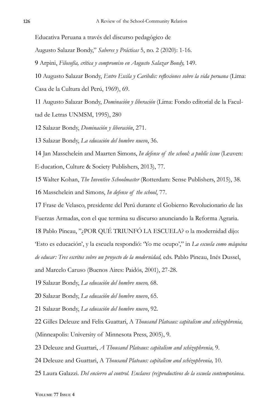Educativa Peruana a través del discurso pedagógico de

Augusto Salazar Bondy," *Saberes y Prácticas* 5, no. 2 (2020): 1-16.

Arpini, *Filosofía, crítica y compromiso en Augusto Salazar Bondy,* 149.

 Augusto Salazar Bondy, *Entre Escila y Caribdis: reflexiones sobre la vida peruana* (Lima: Casa de la Cultura del Perú, 1969), 69.

 Augusto Salazar Bondy, *Dominación y liberación* (Lima: Fondo editorial de la Facultad de Letras UNMSM, 1995), 280

Salazar Bondy, *Dominación y liberación*, 271.

Salazar Bondy, *La educación del hombre nuevo*, 36.

 Jan Masschelein and Maarten Simons, *In defense of the school: a public issue* (Leuven: E-ducation, Culture & Society Publishers, 2013), 77.

Walter Kohan, *The Inventive Schoolmaster* (Rotterdam: Sense Publishers, 2015), 38.

Masschelein and Simons, *In defense of the school*, 77.

 Frase de Velasco, presidente del Perú durante el Gobierno Revolucionario de las Fuerzas Armadas, con el que termina su discurso anunciando la Reforma Agraria.

Pablo Pineau, "¿POR QUÉ TRIUNFÓ LA ESCUELA? o la modernidad dijo:

'Esto es educación', y la escuela respondió: 'Yo me ocupo'," in *La escuela como máquina* 

*de educar: Tres escritos sobre un proyecto de la modernidad,* eds. Pablo Pineau, Inés Dussel,

and Marcelo Caruso (Buenos Aires: Paidós, 2001), 27-28.

Salazar Bondy, *La educación del hombre nuevo,* 68.

Salazar Bondy, *La educación del hombre nuevo*, 65.

Salazar Bondy, *La educación del hombre nuevo*, 92.

 Gilles Deleuze and Felix Guattari, A *Thousand Plateaus: capitalism and schizophrenia,*  (Minneapolis: University of Minnesota Press, 2005), 9.

Deleuze and Guattari, *A Thousand Plateaus: capitalism and schizophrenia,* 9.

Deleuze and Guattari, A *Thousand Plateaus: capitalism and schizophrenia,* 10.

Laura Galazzi. *Del encierro al control. Enclaves (re)productivos de la escuela contemporánea*.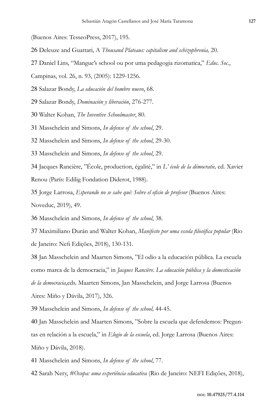(Buenos Aires: TesseoPress, 2017), 195.

- 26 Deleuze and Guattari*,* A *Thousand Plateaus: capitalism and schizophrenia,* 20.
- 27 Daniel Lins, "Mangue's school ou por uma pedagogia rizomatica," *Educ. Soc.*,

Campinas, vol. 26, n. 93, (2005): 1229-1256.

28 Salazar Bondy, *La educación del hombre nuevo*, 68.

29 Salazar Bondy, *Dominación y liberación*, 276-277.

30 Walter Kohan, *The Inventive Schoolmaster*, 80.

31 Masschelein and Simons, *In defense of the school*, 29.

32 Masschelein and Simons, *In defense of the school*, 29-30.

33 Masschelein and Simons, *In defense of the school*, 29.

34 Jacques Rancière, "École, production, égalité," in *L' école de la démocratie,* ed. Xavier Renou (París: Edilig Fondation Diderot, 1988).

35 Jorge Larrosa, *Esperando no se sabe qué: Sobre el oficio de profesor* (Buenos Aires: Noveduc, 2019), 49.

36 Masschelein and Simons, *In defense of the school*, 38.

37 Maximiliano Durán and Walter Kohan, *Manifesto por uma escola filosófica popular* (Rio de Janeiro: Nefi Edições, 2018), 130-131.

38 Jan Masschelein and Maarten Simons, "El odio a la educación pública. La escuela como marca de la democracia," in *Jacques Rancière. La educación pública y la domesticación de la democracia*,eds. Maarten Simons, Jan Masschelein, and Jorge Larrosa (Buenos Aires: Miño y Dávila, 2017), 326.

39 Masschelein and Simons, *In defense of the school,* 44-45.

40 Jan Masschelein and Maarten Simons, "Sobre la escuela que defendemos: Preguntas en relación a la escuela," in *Elogio de la escuela*, ed. Jorge Larrosa (Buenos Aires: Miño y Dávila, 2018).

41 Masschelein and Simons, *In defense of the school*, 77.

42 Sarah Nery, *#Ocupa: uma experiência educativa* (Rio de Janeiro: NEFI Edições, 2018),